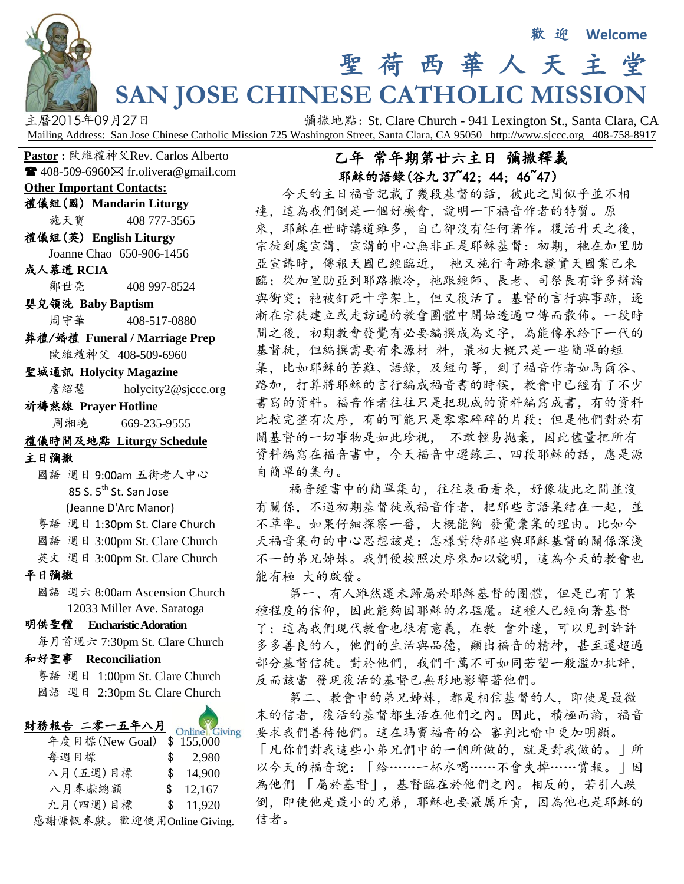

## **SAN JOSE CHINESE CATHOLIC MISSION**

主曆2015年09月27日 **Warehouse To Produce To Produce St.** Clare Church - 941 Lexington St., Santa Clara, CA Mailing Address: San Jose Chinese Catholic Mission 725 Washington Street, Santa Clara, CA 95050 http://www.sjccc.org 408-758-8917

**Pastor** : 歐維禮神父Rev. Carlos Alberto  $\blacksquare$  408-509-6960 $\boxtimes$  fr.olivera@gmail.com **Other Important Contacts:**

- 禮儀組(國) **Mandarin Liturgy** 施天寶 408 777-3565
- 禮儀組(英) **English Liturgy** Joanne Chao 650-906-1456

成人慕道 **RCIA** 鄒世亮 408 997-8524

- 嬰兒領洗 **Baby Baptism** 周守華 408-517-0880
- 葬禮/婚禮 **Funeral / Marriage Prep** 歐維禮神父 408-509-6960

聖城通訊 **Holycity Magazine 詹紹慧** [holycity2@sjccc.org](mailto:holycity2@sjccc.org)

祈禱熱線 **Prayer Hotline** 周湘曉 669-235-9555

## 禮儀時間及地點 **Liturgy Schedule**

主日彌撒

 國語 週日 9:00am 五街老人中心 85 S. 5<sup>th</sup> St. San Jose (Jeanne D'Arc Manor)

粵語 週日 1:30pm St. Clare Church

- 國語 週日 3:00pm St. Clare Church
- 英文 週日 3:00pm St. Clare Church

平日彌撒

 國語 週六 8:00am Ascension Church 12033 Miller Ave. Saratoga

明供聖體 **Eucharistic Adoration**

每月首週六 7:30pm St. Clare Church

和好聖事 **Reconciliation** 粵語 週日 1:00pm St. Clare Church 國語 週日 2:30pm St. Clare Church

| 財務報告 二零一五年八月 Online Giving |               |        |
|----------------------------|---------------|--------|
| 年度目標 (New Goal) \$ 155,000 |               |        |
| 每週目標                       | S             | 2,980  |
| 八月(五週)目標                   | $\mathbf{\$}$ | 14,900 |
| 八月奉獻總額                     | S.            | 12,167 |
| 九月(四週)目標                   | S.            | 11,920 |
| 感謝慷慨奉獻。歡迎使用Online Giving.  |               |        |

## 乙年 常年期第廿六主日 彌撒釋義 耶穌的語錄(谷九 37~42; 44; 46~47)

聖 荷 西 華 人 天 主 堂

 今天的主日福音記載了幾段基督的話,彼此之間似乎並不相 連,這為我們倒是一個好機會,說明一下福音作者的特質。原 來,耶穌在世時講道雖多,自己卻沒有任何著作。復活升天之後, 宗徒到處宣講,宣講的中心無非正是耶穌基督:初期,祂在加里肋 亞宣講時,傳報天國已經臨近, 祂又施行奇跡來證實天國業已來 臨;從加里肋亞到耶路撒冷,祂跟經師、長老、司祭長有許多辯論 與衝突;祂被釘死十字架上,但又復活了。基督的言行與事跡,逐 漸在宗徒建立或走訪過的教會團體中開始透過口傳而散佈。一段時 間之後,初期教會發覺有必要編撰成為文字,為能傳承給下一代的 基督徒,但編撰需要有來源材 料,最初大概只是一些簡單的短 集,比如耶穌的苦難、語錄,及短句等,到了福音作者如馬爾谷、 路加,打算將耶穌的言行編成福音書的時候,教會中已經有了不少 書寫的資料。福音作者往往只是把現成的資料編寫成書,有的資料 比較完整有次序,有的可能只是零零碎碎的片段;但是他們對於有 關基督的一切事物是如此珍視, 不敢輕易拋棄,因此儘量把所有 資料編寫在福音書中,今天福音中選錄三、四段耶穌的話,應是源 自簡單的集句。

 福音經書中的簡單集句,往往表面看來,好像彼此之間並沒 有關係,不過初期基督徒或福音作者,把那些言語集結在一起,並 不草率。如果仔細探察一番,大概能夠 發覺彙集的理由。比如今 天福音集句的中心思想該是:怎樣對待那些與耶穌基督的關係深淺 不一的弟兄姊妹。我們便按照次序來加以說明,這為今天的教會也 能有極 大的啟發。

 第一、有人雖然還未歸屬於耶穌基督的團體,但是已有了某 種程度的信仰,因此能夠因耶穌的名驅魔。這種人已經向著基督 了;這為我們現代教會也很有意義,在教 會外邊,可以見到許許 多多善良的人,他們的生活與品德,顯出福音的精神,甚至還超過 部分基督信徒。對於他們,我們千萬不可如同若望一般濫加批評, 反而該當 發現復活的基督已無形地影響著他們。

 第二、教會中的弟兄姊妹,都是相信基督的人,即使是最微 末的信者,復活的基督都生活在他們之內。因此,積極而論,福音 要求我們善待他們。這在瑪竇福音的公 審判比喻中更加明顯。 「凡你們對我這些小弟兄們中的一個所做的,就是對我做的。」所 以今天的福音說:「給……一杯水喝……不會失掉……賞報。」因 為他們 「屬於基督」,基督臨在於他們之內。相反的,若引人跌 倒,即使他是最小的兄弟,耶穌也要嚴厲斥責,因為他也是耶穌的 信者。